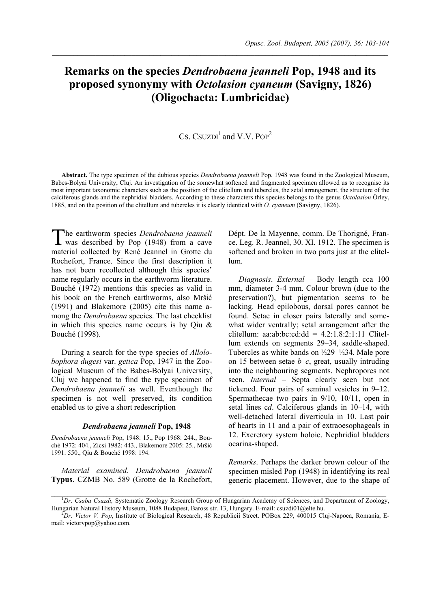# **Remarks on the species** *Dendrobaena jeanneli* **Pop, 1948 and its proposed synonymy with** *Octolasion cyaneum* **(Savigny, 1826) (Oligochaeta: Lumbricidae)**

## CS. CSUZDI<sup>1</sup> and V.V. POP<sup>2</sup>

**Abstract.** The type specimen of the dubious species *Dendrobaena jeanneli* Pop, 1948 was found in the Zoological Museum, Babes-Bolyai University, Cluj. An investigation of the somewhat softened and fragmented specimen allowed us to recognise its most important taxonomic characters such as the position of the clitellum and tubercles, the setal arrangement, the structure of the calciferous glands and the nephridial bladders. According to these characters this species belongs to the genus *Octolasion* Örley, 1885, and on the position of the clitellum and tubercles it is clearly identical with *O. cyaneum* (Savigny, 1826).

he earthworm species *Dendrobaena jeanneli* The earthworm species Dendrobaena jeanneli<br>was described by Pop (1948) from a cave material collected by René Jeannel in Grotte du Rochefort, France. Since the first description it has not been recollected although this species' name regularly occurs in the earthworm literature. Bouché (1972) mentions this species as valid in his book on the French earthworms, also Mršić (1991) and Blakemore (2005) cite this name among the *Dendrobaena* species. The last checklist in which this species name occurs is by Qiu & Bouché (1998).

During a search for the type species of *Allolobophora dugesi* var. *getica* Pop, 1947 in the Zoological Museum of the Babes-Bolyai University, Cluj we happened to find the type specimen of *Dendrobaena jeanneli* as well. Eventhough the specimen is not well preserved, its condition enabled us to give a short redescription

#### *Dendrobaena jeanneli* **Pop, 1948**

*Dendrobaena jeanneli* Pop, 1948: 15., Pop 1968: 244., Bouché 1972: 404., Zicsi 1982: 443., Blakemore 2005: 25., Mršić 1991: 550., Qiu & Bouché 1998: 194.

*Material examined*. *Dendrobaena jeanneli* **Typus**. CZMB No. 589 (Grotte de la Rochefort, Dépt. De la Mayenne, comm. De Thorigné, France. Leg. R. Jeannel, 30. XI. 1912. The specimen is softened and broken in two parts just at the clitellum.

*Diagnosis*. *External –* Body length cca 100 mm, diameter 3-4 mm. Colour brown (due to the preservation?), but pigmentation seems to be lacking. Head epilobous, dorsal pores cannot be found. Setae in closer pairs laterally and somewhat wider ventrally; setal arrangement after the clitellum: aa:ab:bc:cd:dd = 4.2:1.8:2:1:11 Clitellum extends on segments 29–34, saddle-shaped. Tubercles as white bands on ½29–½34. Male pore on 15 between setae *b*–*c*, great, usually intruding into the neighbouring segments. Nephropores not seen. *Internal –* Septa clearly seen but not tickened. Four pairs of seminal vesicles in 9–12. Spermathecae two pairs in 9/10, 10/11, open in setal lines c*d*. Calciferous glands in 10–14, with well-detached lateral diverticula in 10. Last pair of hearts in 11 and a pair of extraoesophageals in 12. Excretory system holoic. Nephridial bladders ocarina-shaped.

*Remarks*. Perhaps the darker brown colour of the specimen misled Pop (1948) in identifying its real generic placement. However, due to the shape of

<sup>&</sup>lt;sup>1</sup>Dr. Csaba Csuzdi, Systematic Zoology Research Group of Hungarian Academy of Sciences, and Department of Zoology, Hungarian Natural History Museum, 1088 Budapest, Baross str. 13, Hungary. E-mail: csuzdi01@elte.hu. 2

*Dr. Victor V. Pop*, Institute of Biological Research, 48 Republicii Street. POBox 229, 400015 Cluj-Napoca, Romania, Email: victorvpop@yahoo.com.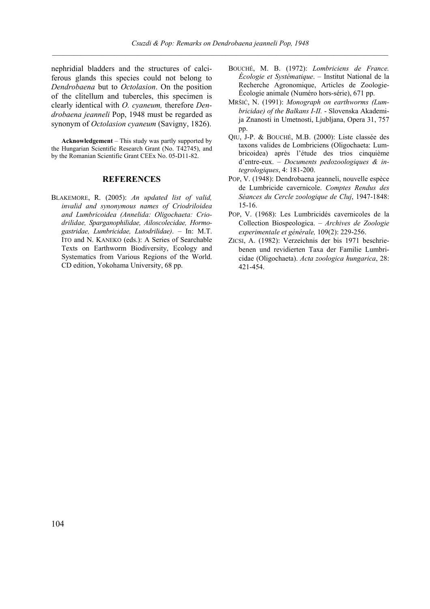nephridial bladders and the structures of calciferous glands this species could not belong to *Dendrobaena* but to *Octolasion*. On the position of the clitellum and tubercles, this specimen is clearly identical with *O. cyaneum,* therefore *Dendrobaena jeanneli* Pop, 1948 must be regarded as synonym of *Octolasion cyaneum* (Savigny, 1826).

**Acknowledgement** – This study was partly supported by the Hungarian Scientific Research Grant (No. T42745), and by the Romanian Scientific Grant CEEx No. 05-D11-82.

### **REFERENCES**

BLAKEMORE, R. (2005): *An updated list of valid, invalid and synonymous names of Criodriloidea and Lumbricoidea (Annelida: Oligochaeta: Criodrilidae, Sparganophilidae, Ailoscolecidae, Hormogastridae, Lumbricidae, Lutodrilidae)*. – In: M.T. ITO and N. KANEKO (eds.): A Series of Searchable Texts on Earthworm Biodiversity, Ecology and Systematics from Various Regions of the World. CD edition, Yokohama University, 68 pp.

- BOUCHÉ, M. B. (1972): *Lombriciens de France. Écologie et Systématique*. – Institut National de la Recherche Agronomique, Articles de Zoologie-Écologie animale (Numéro hors-série), 671 pp.
- MRŠIĆ, N. (1991): *Monograph on earthworms (Lumbricidae) of the Balkans I-II.* - Slovenska Akademija Znanosti in Umetnosti, Ljubljana, Opera 31, 757 pp.
- QIU, J-P. & BOUCHÉ, M.B. (2000): Liste classée des taxons valides de Lombriciens (Oligochaeta: Lumbricoidea) après l'étude des trios cinquième d'entre-eux. – *Documents pedozoologiques & integrologiques*, 4: 181-200.
- POP, V. (1948): Dendrobaena jeanneli, nouvelle espèce de Lumbricide cavernicole. *Comptes Rendus des Séances du Cercle zoologique de Cluj*, 1947-1848: 15-16.
- POP, V. (1968): Les Lumbricidés cavernicoles de la Collection Biospeologica. – *Archives de Zoologie experimentale et générale,* 109(2): 229-256.
- ZICSI, A. (1982): Verzeichnis der bis 1971 beschriebenen und revidierten Taxa der Familie Lumbricidae (Oligochaeta). *Acta zoologica hungarica*, 28: 421-454.